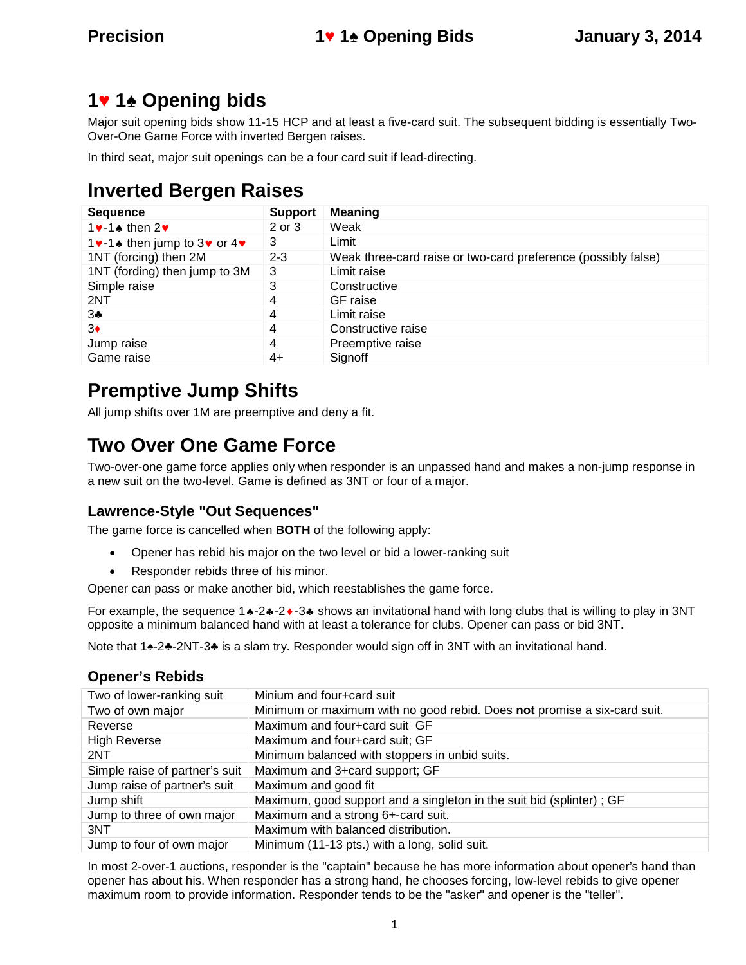# **1 1 Opening bids**

Major suit opening bids show 11-15 HCP and at least a five-card suit. The subsequent bidding is essentially Two- Over-One Game Force with inverted Bergen raises.

In third seat, major suit openings can be a four card suit if lead-directing.

## **Inverted Bergen Raises**

| <b>Sequence</b>                                 | <b>Support</b> | <b>Meaning</b>                                                |
|-------------------------------------------------|----------------|---------------------------------------------------------------|
| 1 $\vee$ -1 $\wedge$ then 2 $\vee$              | 2 or 3         | Weak                                                          |
| 1v-1 <sup>*</sup> then jump to 3v or $4\bullet$ | 3              | Limit                                                         |
| 1NT (forcing) then 2M                           | $2 - 3$        | Weak three-card raise or two-card preference (possibly false) |
| 1NT (fording) then jump to 3M                   | 3              | Limit raise                                                   |
| Simple raise                                    | 3              | Constructive                                                  |
| 2NT                                             | 4              | GF raise                                                      |
| 3                                               | 4              | Limit raise                                                   |
| 3                                               | 4              | Constructive raise                                            |
| Jump raise                                      | 4              | Preemptive raise                                              |
| Game raise                                      | $4+$           | Signoff                                                       |

# **Premptive Jump Shifts**

All jump shifts over 1M are preemptive and deny a fit.

## **Two Over One Game Force**

Two-over-one game force applies only when responder is an unpassed hand and makes a non-jump response in a new suit on the two-level. Game is defined as 3NT or four of a major.

### **Lawrence-Style "Out Sequences"**

The game force is cancelled when **BOTH** of the following apply:

- Opener has rebid his major on the two level or bid a lower-ranking suit
- Responder rebids three of his minor.

Opener can pass or make another bid, which reestablishes the game force.

For example, the sequence  $1 \cdot -2 \cdot -3 \cdot$  shows an invitational hand with long clubs that is willing to play in 3NT opposite a minimum balanced hand with at least a tolerance for clubs. Opener can pass or bid 3NT.

Note that 1 -2 -2NT-3 is a slam try. Responder would sign off in 3NT with an invitational hand.

### **Opener's Rebids**

| Two of lower-ranking suit      | Minium and four+card suit                                                |  |  |
|--------------------------------|--------------------------------------------------------------------------|--|--|
| Two of own major               | Minimum or maximum with no good rebid. Does not promise a six-card suit. |  |  |
| Reverse                        | Maximum and four+card suit GF                                            |  |  |
| <b>High Reverse</b>            | Maximum and four+card suit; GF                                           |  |  |
| 2NT                            | Minimum balanced with stoppers in unbid suits.                           |  |  |
| Simple raise of partner's suit | Maximum and 3+card support; GF                                           |  |  |
| Jump raise of partner's suit   | Maximum and good fit                                                     |  |  |
| Jump shift                     | Maximum, good support and a singleton in the suit bid (splinter); GF     |  |  |
| Jump to three of own major     | Maximum and a strong 6+-card suit.                                       |  |  |
| 3NT                            | Maximum with balanced distribution.                                      |  |  |
| Jump to four of own major      | Minimum (11-13 pts.) with a long, solid suit.                            |  |  |

In most 2-over-1 auctions, responder is the "captain" because he has more information about opener's hand than opener has about his. When responder has a strong hand, he chooses forcing, low-level rebids to give opener maximum room to provide information. Responder tends to be the "asker" and opener is the "teller".